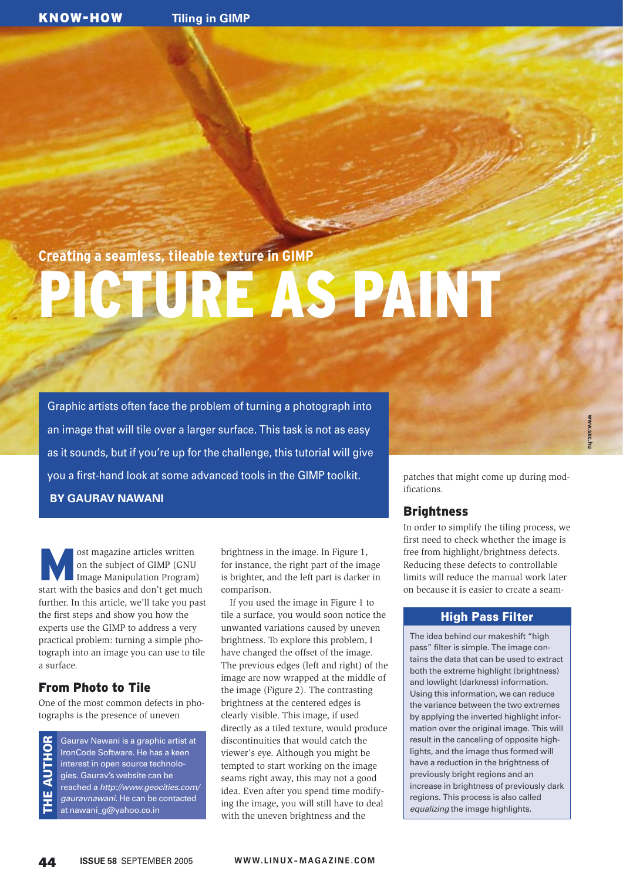**Creating a seamless, tileable texture in GIMP**

# PICTURE AS PAINT

Graphic artists often face the problem of turning a photograph into an image that will tile over a larger surface. This task is not as easy as it sounds, but if you're up for the challenge, this tutorial will give you a first-hand look at some advanced tools in the GIMP toolkit. **BY GAURAV NAWANI**

**Most magazine articles written**<br>
Image Manipulation Program) on the subject of GIMP (GNU start with the basics and don't get much further. In this article, we'll take you past the first steps and show you how the experts use the GIMP to address a very practical problem: turning a simple photograph into an image you can use to tile a surface.

# From Photo to Tile

**AUTHOR** 

ūυ

One of the most common defects in photographs is the presence of uneven

Gaurav Nawani is a graphic artist at IronCode Software. He has a keen interest in open source technologies. Gaurav's website can be reached a http://www.geocities.com/ gauravnawani. He can be contacted THE AUTHOR at nawani\_g@yahoo.co.in

brightness in the image. In Figure 1, for instance, the right part of the image is brighter, and the left part is darker in comparison.

If you used the image in Figure 1 to tile a surface, you would soon notice the unwanted variations caused by uneven brightness. To explore this problem, I have changed the offset of the image. The previous edges (left and right) of the image are now wrapped at the middle of the image (Figure 2). The contrasting brightness at the centered edges is clearly visible. This image, if used directly as a tiled texture, would produce discontinuities that would catch the viewer's eye. Although you might be tempted to start working on the image seams right away, this may not a good idea. Even after you spend time modifying the image, you will still have to deal with the uneven brightness and the

patches that might come up during modifications.

# **Brightness**

In order to simplify the tiling process, we first need to check whether the image is free from highlight/brightness defects. Reducing these defects to controllable limits will reduce the manual work later on because it is easier to create a seam-

# High Pass Filter

The idea behind our makeshift "high pass" filter is simple. The image contains the data that can be used to extract both the extreme highlight (brightness) and lowlight (darkness) information. Using this information, we can reduce the variance between the two extremes by applying the inverted highlight information over the original image. This will result in the canceling of opposite highlights, and the image thus formed will have a reduction in the brightness of previously bright regions and an increase in brightness of previously dark regions. This process is also called equalizing the image highlights.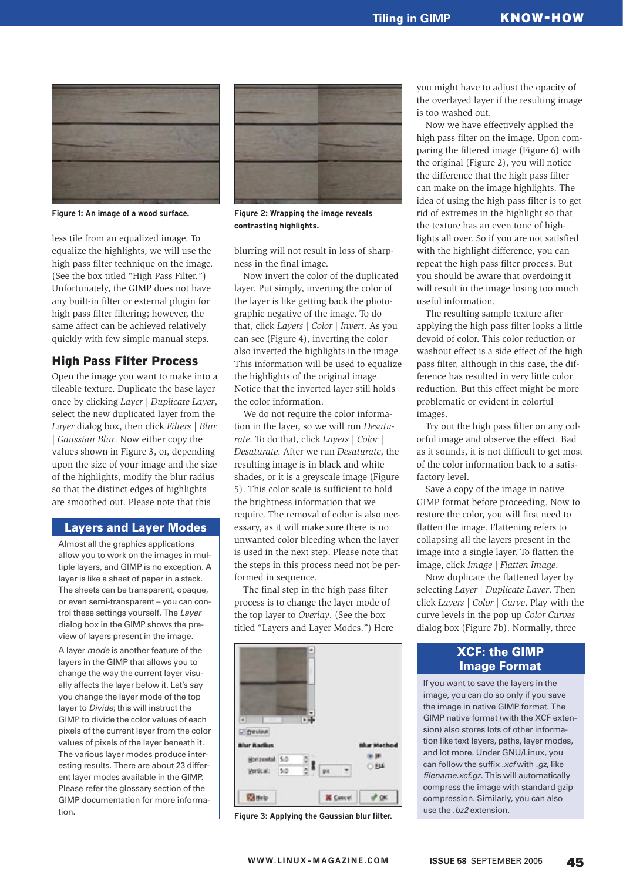

**Figure 1: An image of a wood surface. Figure 2: Wrapping the image reveals** 

less tile from an equalized image. To equalize the highlights, we will use the high pass filter technique on the image. (See the box titled "High Pass Filter.") Unfortunately, the GIMP does not have any built-in filter or external plugin for high pass filter filtering; however, the same affect can be achieved relatively quickly with few simple manual steps.

## High Pass Filter Process

Open the image you want to make into a tileable texture. Duplicate the base layer once by clicking *Layer | Duplicate Layer*, select the new duplicated layer from the *Layer* dialog box, then click *Filters | Blur | Gaussian Blur*. Now either copy the values shown in Figure 3, or, depending upon the size of your image and the size of the highlights, modify the blur radius so that the distinct edges of highlights are smoothed out. Please note that this

#### Layers and Layer Modes

Almost all the graphics applications allow you to work on the images in multiple layers, and GIMP is no exception. A layer is like a sheet of paper in a stack. The sheets can be transparent, opaque, or even semi-transparent – you can control these settings yourself. The Layer dialog box in the GIMP shows the preview of layers present in the image.

A layer mode is another feature of the layers in the GIMP that allows you to change the way the current layer visually affects the layer below it. Let's say you change the layer mode of the top layer to Divide; this will instruct the GIMP to divide the color values of each pixels of the current layer from the color values of pixels of the layer beneath it. The various layer modes produce interesting results. There are about 23 different layer modes available in the GIMP. Please refer the glossary section of the GIMP documentation for more information.



**contrasting highlights.**

blurring will not result in loss of sharpness in the final image.

Now invert the color of the duplicated layer. Put simply, inverting the color of the layer is like getting back the photographic negative of the image. To do that, click *Layers | Color | Invert*. As you can see (Figure 4), inverting the color also inverted the highlights in the image. This information will be used to equalize the highlights of the original image. Notice that the inverted layer still holds the color information.

We do not require the color information in the layer, so we will run *Desaturate*. To do that, click *Layers | Color | Desaturate*. After we run *Desaturate*, the resulting image is in black and white shades, or it is a greyscale image (Figure 5). This color scale is sufficient to hold the brightness information that we require. The removal of color is also necessary, as it will make sure there is no unwanted color bleeding when the layer is used in the next step. Please note that the steps in this process need not be performed in sequence.

The final step in the high pass filter process is to change the layer mode of the top layer to *Overlay*. (See the box titled "Layers and Layer Modes.") Here



**Figure 3: Applying the Gaussian blur filter.**

you might have to adjust the opacity of the overlayed layer if the resulting image is too washed out.

Now we have effectively applied the high pass filter on the image. Upon comparing the filtered image (Figure 6) with the original (Figure 2), you will notice the difference that the high pass filter can make on the image highlights. The idea of using the high pass filter is to get rid of extremes in the highlight so that the texture has an even tone of highlights all over. So if you are not satisfied with the highlight difference, you can repeat the high pass filter process. But you should be aware that overdoing it will result in the image losing too much useful information.

The resulting sample texture after applying the high pass filter looks a little devoid of color. This color reduction or washout effect is a side effect of the high pass filter, although in this case, the difference has resulted in very little color reduction. But this effect might be more problematic or evident in colorful images.

Try out the high pass filter on any colorful image and observe the effect. Bad as it sounds, it is not difficult to get most of the color information back to a satisfactory level.

Save a copy of the image in native GIMP format before proceeding. Now to restore the color, you will first need to flatten the image. Flattening refers to collapsing all the layers present in the image into a single layer. To flatten the image, click *Image | Flatten Image*.

Now duplicate the flattened layer by selecting *Layer | Duplicate Layer*. Then click *Layers | Color | Curve*. Play with the curve levels in the pop up *Color Curves* dialog box (Figure 7b). Normally, three

## XCF: the GIMP Image Format

If you want to save the layers in the image, you can do so only if you save the image in native GIMP format. The GIMP native format (with the XCF extension) also stores lots of other information like text layers, paths, layer modes, and lot more. Under GNU/Linux, you can follow the suffix .xcf with .gz, like filename.xcf.gz. This will automatically compress the image with standard gzip compression. Similarly, you can also use the .bz2 extension.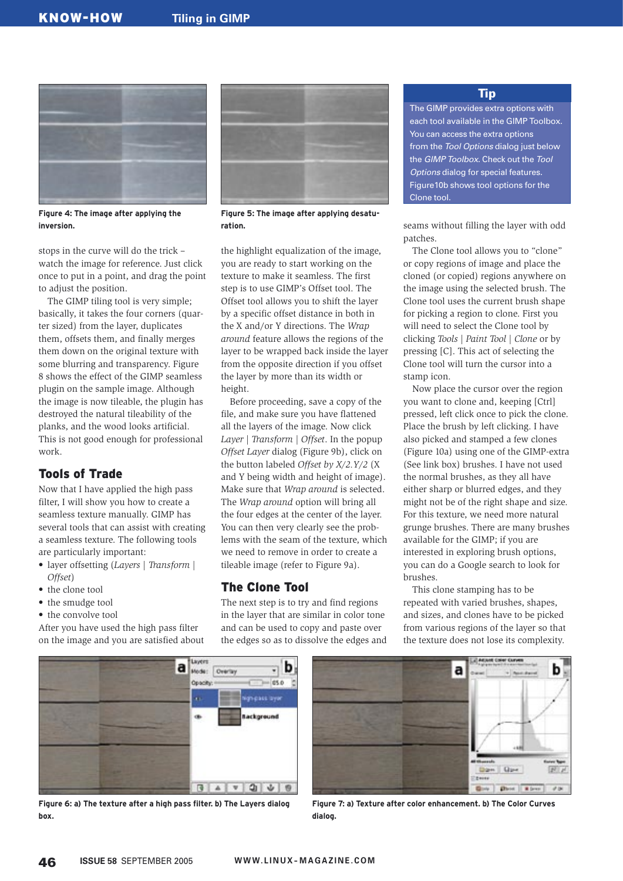

**Figure 4: The image after applying the inversion.**

stops in the curve will do the trick – watch the image for reference. Just click once to put in a point, and drag the point to adjust the position.

The GIMP tiling tool is very simple; basically, it takes the four corners (quarter sized) from the layer, duplicates them, offsets them, and finally merges them down on the original texture with some blurring and transparency. Figure 8 shows the effect of the GIMP seamless plugin on the sample image. Although the image is now tileable, the plugin has destroyed the natural tileability of the planks, and the wood looks artificial. This is not good enough for professional work.

# Tools of Trade

Now that I have applied the high pass filter, I will show you how to create a seamless texture manually. GIMP has several tools that can assist with creating a seamless texture. The following tools are particularly important:

- layer offsetting (*Layers | Transform | Offset*)
- the clone tool
- the smudge tool
- the convolve tool

After you have used the high pass filter on the image and you are satisfied about



**Figure 5: The image after applying desaturation.**

the highlight equalization of the image, you are ready to start working on the texture to make it seamless. The first step is to use GIMP's Offset tool. The Offset tool allows you to shift the layer by a specific offset distance in both in the X and/or Y directions. The *Wrap around* feature allows the regions of the layer to be wrapped back inside the layer from the opposite direction if you offset the layer by more than its width or height.

Before proceeding, save a copy of the file, and make sure you have flattened all the layers of the image. Now click *Layer | Transform | Offset*. In the popup *Offset Layer* dialog (Figure 9b), click on the button labeled *Offset by X/2.Y/2* (X and Y being width and height of image). Make sure that *Wrap around* is selected. The *Wrap around* option will bring all the four edges at the center of the layer. You can then very clearly see the problems with the seam of the texture, which we need to remove in order to create a tileable image (refer to Figure 9a).

#### The Clone Tool

The next step is to try and find regions in the layer that are similar in color tone and can be used to copy and paste over the edges so as to dissolve the edges and

#### Tip

The GIMP provides extra options with each tool available in the GIMP Toolbox. You can access the extra options from the Tool Options dialog just below the GIMP Toolbox. Check out the Tool Options dialog for special features. Figure10b shows tool options for the Clone tool.

seams without filling the layer with odd patches.

The Clone tool allows you to "clone" or copy regions of image and place the cloned (or copied) regions anywhere on the image using the selected brush. The Clone tool uses the current brush shape for picking a region to clone. First you will need to select the Clone tool by clicking *Tools | Paint Tool | Clone* or by pressing [C]. This act of selecting the Clone tool will turn the cursor into a stamp icon.

Now place the cursor over the region you want to clone and, keeping [Ctrl] pressed, left click once to pick the clone. Place the brush by left clicking. I have also picked and stamped a few clones (Figure 10a) using one of the GIMP-extra (See link box) brushes. I have not used the normal brushes, as they all have either sharp or blurred edges, and they might not be of the right shape and size. For this texture, we need more natural grunge brushes. There are many brushes available for the GIMP; if you are interested in exploring brush options, you can do a Google search to look for brushes.

This clone stamping has to be repeated with varied brushes, shapes, and sizes, and clones have to be picked from various regions of the layer so that the texture does not lose its complexity.



**Figure 6: a) The texture after a high pass filter. b) The Layers dialog box.**



**Figure 7: a) Texture after color enhancement. b) The Color Curves dialog.**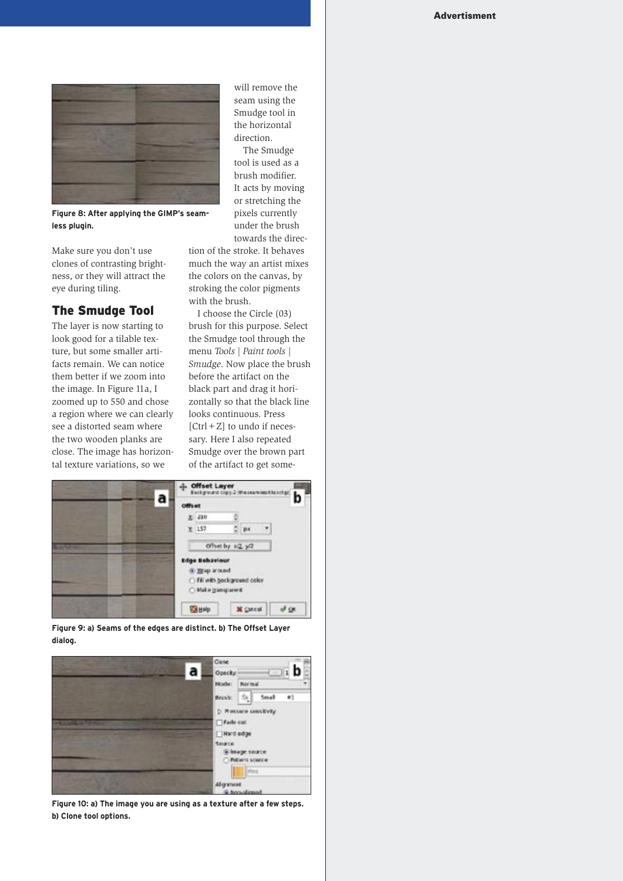

**Figure 8: After applying the GIMP's seamless plugin.** 

Make sure you don't use clones of contrasting brightness, or they will attract the eye during tiling.

## The Smudge Tool

The layer is now starting to look good for a tilable texture, but some smaller artifacts remain. We can notice them better if we zoom into the image. In Figure 11a, I zoomed up to 550 and chose a region where we can clearly see a distorted seam where the two wooden planks are close. The image has horizontal texture variations, so we

will remove the seam using the Smudge tool in the horizontal direction.

The Smudge tool is used as a brush modifier. It acts by moving or stretching the pixels currently under the brush towards the direc-

tion of the stroke. It behaves much the way an artist mixes the colors on the canvas, by stroking the color pigments with the brush.

I choose the Circle (03) brush for this purpose. Select the Smudge tool through the menu *Tools | Paint tools | Smudge*. Now place the brush before the artifact on the black part and drag it horizontally so that the black line looks continuous. Press  $[Ctrl + Z]$  to undo if necessary. Here I also repeated Smudge over the brown part of the artifact to get some-



**Figure 9: a) Seams of the edges are distinct. b) The Offset Layer dialog.**



**Figure 10: a) The image you are using as a texture after a few steps. b) Clone tool options.**